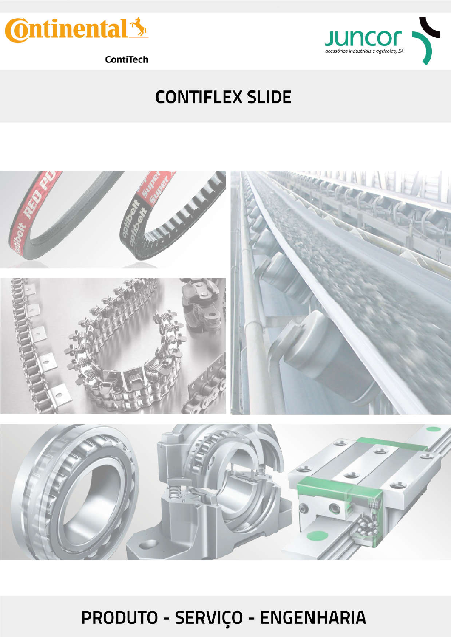



ContiTech

## **CONTIFLEX SLIDE**



PRODUTO - SERVIÇO - ENGENHARIA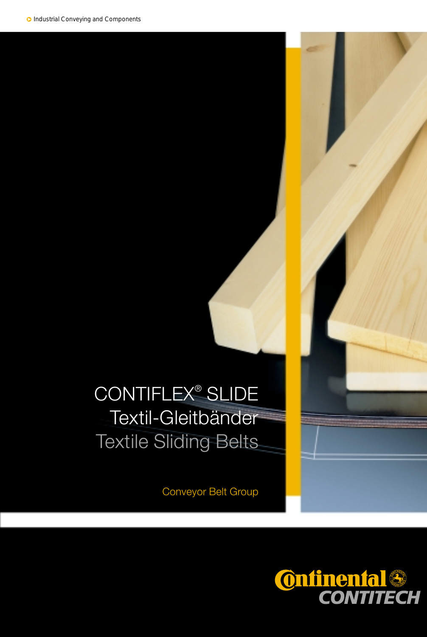# CONTIFLEX® SLIDE Textil-Gleitbänder Textile Sliding Belts

Conveyor Belt Group

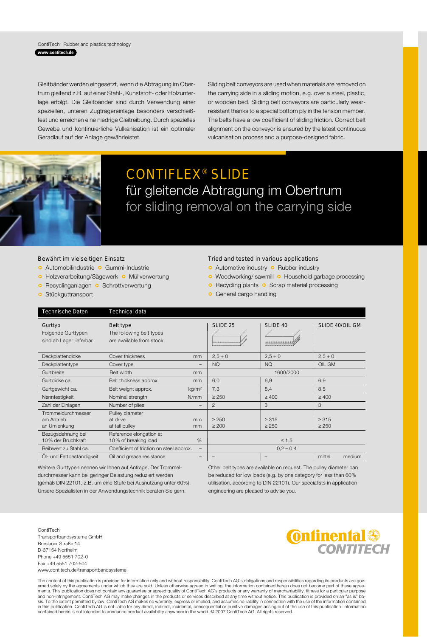#### ContiTech Rubber and plastics technology **www.contitech.de**

Gleitbänder werden eingesetzt, wenn die Abtragung im Obertrum gleitend z.B. auf einer Stahl-, Kunststoff- oder Holzunterlage erfolgt. Die Gleitbänder sind durch Verwendung einer speziellen, unteren Zugträgereinlage besonders verschleißfest und erreichen eine niedrige Gleitreibung. Durch spezielles Gewebe und kontinuierliche Vulkanisation ist ein optimaler Geradlauf auf der Anlage gewährleistet.

Sliding belt conveyors are used when materials are removed on the carrying side in a sliding motion, e.g. over a steel, plastic, or wooden bed. Sliding belt conveyors are particularly wearresistant thanks to a special bottom ply in the tension member. The belts have a low coefficient of sliding friction. Correct belt alignment on the conveyor is ensured by the latest continuous vulcanisation process and a purpose-designed fabric.



### CONTIFLEX® SLIDE für gleitende Abtragung im Obertrum for sliding removal on the carrying side

#### Bewährt im vielseitigen Einsatz

- **Q** Automobilindustrie **Q** Gummi-Industrie
- **c** Holzverarbeitung/Sägewerk **c** Müllverwertung
- **o** Recyclinganlagen **o** Schrottverwertung
- **B** Stückguttransport

#### Tried and tested in various applications

- **Q** Automotive industry **Q** Rubber industry
- **o** Woodworking/ sawmill **o** Household garbage processing
- **o** Recycling plants **o** Scrap material processing
- **o** General cargo handling

| Technische Daten                                         | Technical data                                                    |                   |                                                                    |                          |                          |                        |
|----------------------------------------------------------|-------------------------------------------------------------------|-------------------|--------------------------------------------------------------------|--------------------------|--------------------------|------------------------|
| Gurttyp<br>Folgende Gurttypen<br>sind ab Lager lieferbar | Belt type<br>The following belt types<br>are available from stock |                   | SLIDE <sub>25</sub><br>Collection of the Control of the Collection | SLIDE 40                 |                          | <b>SLIDE 40/OIL GM</b> |
| Deckplattendicke                                         | Cover thickness                                                   | mm                | $2,5+0$                                                            | $2,5+0$                  | $2,5+0$                  |                        |
| Deckplattentype                                          | Cover type                                                        | -                 | <b>NQ</b>                                                          | <b>NQ</b>                | OIL GM                   |                        |
| Gurtbreite                                               | Belt width                                                        | mm                |                                                                    | 1600/2000                |                          |                        |
| Gurtdicke ca.                                            | Belt thickness approx.                                            | mm                | 6,0                                                                | 6,9                      | 6,9                      |                        |
| Gurtgewicht ca.                                          | Belt weight approx.                                               | kg/m <sup>2</sup> | 7,3                                                                | 8,4                      | 8,5                      |                        |
| Nennfestigkeit                                           | Nominal strength                                                  | N/mm              | $\geq 250$                                                         | $\geq 400$               | $\geq 400$               |                        |
| Zahl der Einlagen                                        | Number of plies                                                   | $\qquad \qquad -$ | $\overline{2}$                                                     | 3                        | 3                        |                        |
| Trommeldurchmesser<br>am Antrieb<br>an Umlenkung         | Pulley diameter<br>at drive<br>at tail pulley                     | mm<br>mm          | $\geq 250$<br>$\geq 200$                                           | $\geq 315$<br>$\geq 250$ | $\geq 315$<br>$\geq 250$ |                        |
| Bezugsdehnung bei<br>10% der Bruchkraft                  | Reference elongation at<br>10% of breaking load                   | %                 |                                                                    | $\leq 1,5$               |                          |                        |
| Reibwert zu Stahl ca.                                    | Coefficient of friction on steel approx.                          | -                 |                                                                    | $0,2 - 0,4$              |                          |                        |
| Öl- und Fettbeständigkeit                                | Oil and grease resistance                                         |                   |                                                                    |                          | mittel                   | medium                 |

Weitere Gurttypen nennen wir Ihnen auf Anfrage. Der Trommeldurchmesser kann bei geringer Belastung reduziert werden (gemäß DIN 22101, z.B. um eine Stufe bei Ausnutzung unter 60%). Unsere Spezialisten in der Anwendungstechnik beraten Sie gern.

Other belt types are available on request. The pulley diameter can be reduced for low loads (e.g. by one category for less than 60% utilisation, according to DIN 22101). Our specialists in application engineering are pleased to advise you.

ContiTech Transportbandsysteme GmbH Breslauer Straße 14 D-37154 Northeim Phone +49 5551 702-207 0Fax +49 5551 702-504 www.contitech.de/transportbandsysteme



The content of this publication is provided for information only and without responsibility. ContiTech AG's obligations and responsibilities regarding its products are governed solely by the agreements. This publication do